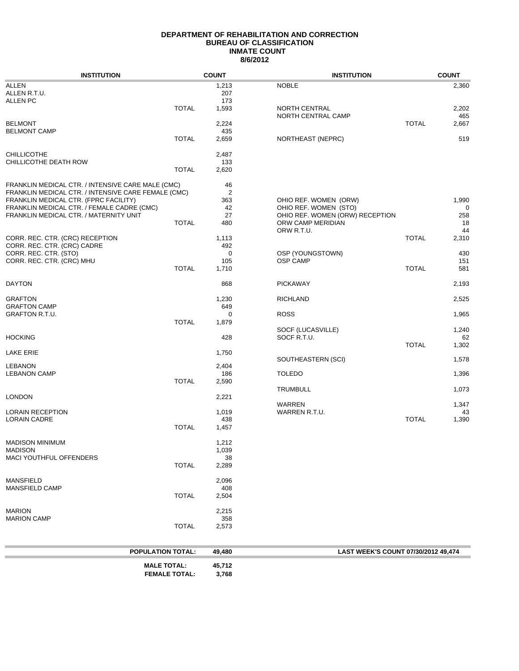### **DEPARTMENT OF REHABILITATION AND CORRECTION BUREAU OF CLASSIFICATION 8/6/2012 INMATE COUNT**

| <b>INSTITUTION</b>                                  |                          | <b>COUNT</b> | <b>INSTITUTION</b>                  |              | <b>COUNT</b> |
|-----------------------------------------------------|--------------------------|--------------|-------------------------------------|--------------|--------------|
| ALLEN                                               |                          | 1,213        | <b>NOBLE</b>                        |              | 2,360        |
| ALLEN R.T.U.                                        |                          | 207          |                                     |              |              |
| <b>ALLEN PC</b>                                     |                          | 173          |                                     |              |              |
|                                                     | <b>TOTAL</b>             | 1,593        | NORTH CENTRAL                       |              | 2,202        |
|                                                     |                          |              | NORTH CENTRAL CAMP                  |              | 465          |
| <b>BELMONT</b>                                      |                          | 2,224        |                                     | <b>TOTAL</b> | 2,667        |
| <b>BELMONT CAMP</b>                                 |                          | 435          |                                     |              |              |
|                                                     | <b>TOTAL</b>             | 2,659        | NORTHEAST (NEPRC)                   |              | 519          |
| <b>CHILLICOTHE</b>                                  |                          | 2,487        |                                     |              |              |
| CHILLICOTHE DEATH ROW                               |                          | 133          |                                     |              |              |
|                                                     | <b>TOTAL</b>             | 2,620        |                                     |              |              |
|                                                     |                          |              |                                     |              |              |
| FRANKLIN MEDICAL CTR. / INTENSIVE CARE MALE (CMC)   |                          | 46           |                                     |              |              |
| FRANKLIN MEDICAL CTR. / INTENSIVE CARE FEMALE (CMC) |                          | 2            |                                     |              |              |
| FRANKLIN MEDICAL CTR. (FPRC FACILITY)               |                          | 363          | OHIO REF. WOMEN (ORW)               |              | 1,990        |
| FRANKLIN MEDICAL CTR. / FEMALE CADRE (CMC)          |                          | 42           | OHIO REF. WOMEN (STO)               |              | 0            |
| FRANKLIN MEDICAL CTR. / MATERNITY UNIT              |                          | 27           | OHIO REF. WOMEN (ORW) RECEPTION     |              | 258          |
|                                                     | <b>TOTAL</b>             | 480          | ORW CAMP MERIDIAN                   |              | 18           |
| CORR. REC. CTR. (CRC) RECEPTION                     |                          |              | ORW R.T.U.                          | <b>TOTAL</b> | 44           |
| CORR. REC. CTR. (CRC) CADRE                         |                          | 1,113<br>492 |                                     |              | 2,310        |
| CORR. REC. CTR. (STO)                               |                          | 0            | OSP (YOUNGSTOWN)                    |              | 430          |
| CORR. REC. CTR. (CRC) MHU                           |                          | 105          | <b>OSP CAMP</b>                     |              | 151          |
|                                                     | <b>TOTAL</b>             | 1,710        |                                     | <b>TOTAL</b> | 581          |
|                                                     |                          |              |                                     |              |              |
| <b>DAYTON</b>                                       |                          | 868          | <b>PICKAWAY</b>                     |              | 2,193        |
| <b>GRAFTON</b>                                      |                          | 1,230        | <b>RICHLAND</b>                     |              | 2,525        |
| <b>GRAFTON CAMP</b>                                 |                          | 649          |                                     |              |              |
| <b>GRAFTON R.T.U.</b>                               |                          | 0            | <b>ROSS</b>                         |              | 1,965        |
|                                                     | <b>TOTAL</b>             | 1,879        |                                     |              |              |
|                                                     |                          |              | SOCF (LUCASVILLE)                   |              | 1,240        |
| <b>HOCKING</b>                                      |                          | 428          | SOCF R.T.U.                         |              | 62           |
|                                                     |                          |              |                                     | <b>TOTAL</b> | 1,302        |
| LAKE ERIE                                           |                          | 1,750        | SOUTHEASTERN (SCI)                  |              | 1,578        |
| <b>LEBANON</b>                                      |                          | 2,404        |                                     |              |              |
| <b>LEBANON CAMP</b>                                 |                          | 186          | <b>TOLEDO</b>                       |              | 1,396        |
|                                                     | <b>TOTAL</b>             | 2,590        |                                     |              |              |
|                                                     |                          |              | <b>TRUMBULL</b>                     |              | 1,073        |
| <b>LONDON</b>                                       |                          | 2,221        |                                     |              |              |
|                                                     |                          |              | <b>WARREN</b>                       |              | 1,347        |
| <b>LORAIN RECEPTION</b>                             |                          | 1,019        | WARREN R.T.U.                       |              | 43           |
| <b>LORAIN CADRE</b>                                 |                          | 438          |                                     | <b>TOTAL</b> | 1,390        |
|                                                     | <b>TOTAL</b>             | 1,457        |                                     |              |              |
| <b>MADISON MINIMUM</b>                              |                          | 1,212        |                                     |              |              |
| MADISON                                             |                          |              |                                     |              |              |
| MACI YOUTHFUL OFFENDERS                             |                          | 1,039<br>38  |                                     |              |              |
|                                                     | <b>TOTAL</b>             | 2,289        |                                     |              |              |
|                                                     |                          |              |                                     |              |              |
| <b>MANSFIELD</b>                                    |                          | 2,096        |                                     |              |              |
| <b>MANSFIELD CAMP</b>                               |                          | 408          |                                     |              |              |
|                                                     | <b>TOTAL</b>             | 2,504        |                                     |              |              |
|                                                     |                          |              |                                     |              |              |
| <b>MARION</b><br><b>MARION CAMP</b>                 |                          | 2,215<br>358 |                                     |              |              |
|                                                     | <b>TOTAL</b>             | 2,573        |                                     |              |              |
|                                                     |                          |              |                                     |              |              |
|                                                     |                          |              |                                     |              |              |
|                                                     | <b>POPULATION TOTAL:</b> | 49,480       | LAST WEEK'S COUNT 07/30/2012 49,474 |              |              |

| <b>MALE TOTAL:</b>   | 45.712 |
|----------------------|--------|
| <b>FEMALE TOTAL:</b> | 3,768  |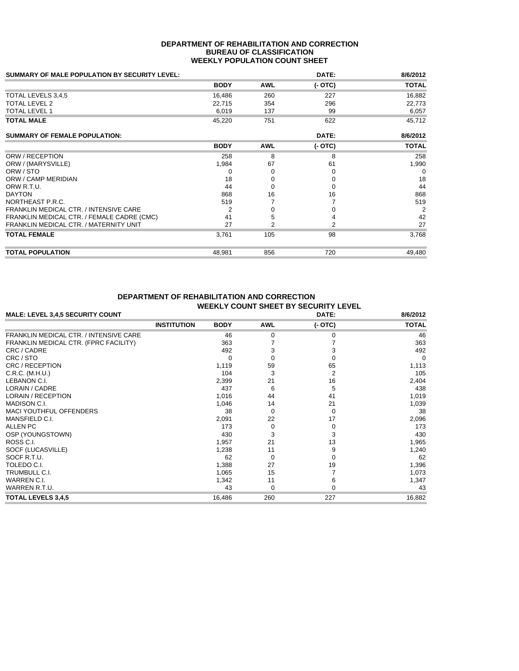### **DEPARTMENT OF REHABILITATION AND CORRECTION BUREAU OF CLASSIFICATION WEEKLY POPULATION COUNT SHEET**

| <b>SUMMARY OF MALE POPULATION BY SECURITY LEVEL:</b> |             |            | DATE:    | 8/6/2012     |
|------------------------------------------------------|-------------|------------|----------|--------------|
|                                                      | <b>BODY</b> | <b>AWL</b> | $(-OTC)$ | <b>TOTAL</b> |
| TOTAL LEVELS 3,4,5                                   | 16,486      | 260        | 227      | 16,882       |
| <b>TOTAL LEVEL 2</b>                                 | 22,715      | 354        | 296      | 22,773       |
| <b>TOTAL LEVEL 1</b>                                 | 6,019       | 137        | 99       | 6,057        |
| <b>TOTAL MALE</b>                                    | 45,220      | 751        | 622      | 45,712       |
| <b>SUMMARY OF FEMALE POPULATION:</b>                 |             |            | DATE:    | 8/6/2012     |
|                                                      | <b>BODY</b> | <b>AWL</b> | $(-OTC)$ | <b>TOTAL</b> |
| ORW / RECEPTION                                      | 258         | 8          | 8        | 258          |
| ORW / (MARYSVILLE)                                   | 1,984       | 67         | 61       | 1,990        |
| ORW / STO                                            | 0           | O          | $\Omega$ | 0            |
| ORW / CAMP MERIDIAN                                  | 18          |            | 0        | 18           |
| ORW R.T.U.                                           | 44          |            | $\Omega$ | 44           |
| <b>DAYTON</b>                                        | 868         | 16         | 16       | 868          |
| NORTHEAST P.R.C.                                     | 519         |            |          | 519          |
| FRANKLIN MEDICAL CTR. / INTENSIVE CARE               | 2           |            | 0        | 2            |
| FRANKLIN MEDICAL CTR. / FEMALE CADRE (CMC)           | 41          |            |          | 42           |
| FRANKLIN MEDICAL CTR. / MATERNITY UNIT               | 27          | 2          | 2        | 27           |
| <b>TOTAL FEMALE</b>                                  | 3,761       | 105        | 98       | 3,768        |
| <b>TOTAL POPULATION</b>                              | 48,981      | 856        | 720      | 49,480       |

## **DEPARTMENT OF REHABILITATION AND CORRECTION WEEKLY COUNT SHEET BY SECURITY LEVEL**

| <b>MALE: LEVEL 3,4,5 SECURITY COUNT</b>       | DATE:              |             |              | 8/6/2012 |              |
|-----------------------------------------------|--------------------|-------------|--------------|----------|--------------|
|                                               | <b>INSTITUTION</b> | <b>BODY</b> | <b>AWL</b>   | $(-OTC)$ | <b>TOTAL</b> |
| <b>FRANKLIN MEDICAL CTR. / INTENSIVE CARE</b> |                    | 46          | $\Omega$     | 0        | 46           |
| FRANKLIN MEDICAL CTR. (FPRC FACILITY)         |                    | 363         |              |          | 363          |
| CRC / CADRE                                   |                    | 492         | з            |          | 492          |
| CRC / STO                                     |                    | ∩           |              |          | $\Omega$     |
| CRC / RECEPTION                               |                    | 1,119       | 59           | 65       | 1,113        |
| C.R.C. (M.H.U.)                               |                    | 104         | 3            | 2        | 105          |
| LEBANON C.I.                                  |                    | 2,399       | 21           | 16       | 2,404        |
| LORAIN / CADRE                                |                    | 437         | 6            | 5        | 438          |
| <b>LORAIN / RECEPTION</b>                     |                    | 1,016       | 44           | 41       | 1,019        |
| <b>MADISON C.I.</b>                           |                    | 1,046       | 14           | 21       | 1,039        |
| <b>MACI YOUTHFUL OFFENDERS</b>                |                    | 38          | 0            | 0        | 38           |
| MANSFIELD C.I.                                |                    | 2,091       | 22           | 17       | 2,096        |
| <b>ALLEN PC</b>                               |                    | 173         | 0            | $\Omega$ | 173          |
| OSP (YOUNGSTOWN)                              |                    | 430         |              | 3        | 430          |
| ROSS C.I.                                     |                    | 1,957       | 21           | 13       | 1,965        |
| SOCF (LUCASVILLE)                             |                    | 1,238       | 11           | 9        | 1,240        |
| SOCF R.T.U.                                   |                    | 62          | <sup>0</sup> | 0        | 62           |
| TOLEDO C.I.                                   |                    | 1,388       | 27           | 19       | 1,396        |
| TRUMBULL C.I.                                 |                    | 1,065       | 15           |          | 1,073        |
| WARREN C.I.                                   |                    | 1,342       | 11           | 6        | 1,347        |
| WARREN R.T.U.                                 |                    | 43          | $\Omega$     | $\Omega$ | 43           |
| <b>TOTAL LEVELS 3,4,5</b>                     |                    | 16,486      | 260          | 227      | 16,882       |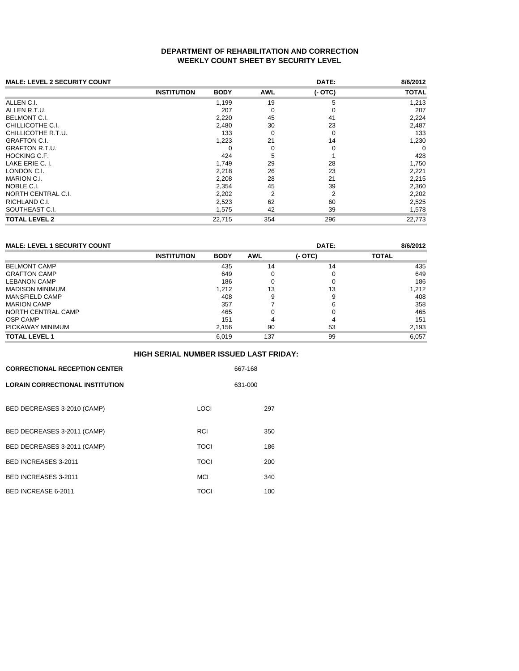## **DEPARTMENT OF REHABILITATION AND CORRECTION WEEKLY COUNT SHEET BY SECURITY LEVEL**

| <b>MALE: LEVEL 2 SECURITY COUNT</b> |                    |             |            | DATE:    | 8/6/2012     |
|-------------------------------------|--------------------|-------------|------------|----------|--------------|
|                                     | <b>INSTITUTION</b> | <b>BODY</b> | <b>AWL</b> | $(-OTC)$ | <b>TOTAL</b> |
| ALLEN C.I.                          |                    | 1,199       | 19         | 5        | 1,213        |
| ALLEN R.T.U.                        |                    | 207         | 0          | 0        | 207          |
| BELMONT C.I.                        |                    | 2,220       | 45         | 41       | 2,224        |
| CHILLICOTHE C.I.                    |                    | 2,480       | 30         | 23       | 2,487        |
| CHILLICOTHE R.T.U.                  |                    | 133         | 0          | 0        | 133          |
| GRAFTON C.I.                        |                    | 1,223       | 21         | 14       | 1,230        |
| GRAFTON R.T.U.                      |                    | 0           | $\Omega$   | 0        | $\Omega$     |
| HOCKING C.F.                        |                    | 424         | 5          |          | 428          |
| LAKE ERIE C. I.                     |                    | 1.749       | 29         | 28       | 1,750        |
| LONDON C.I.                         |                    | 2,218       | 26         | 23       | 2,221        |
| MARION C.I.                         |                    | 2,208       | 28         | 21       | 2,215        |
| NOBLE C.I.                          |                    | 2,354       | 45         | 39       | 2,360        |
| NORTH CENTRAL C.I.                  |                    | 2,202       | 2          | 2        | 2,202        |
| RICHLAND C.I.                       |                    | 2,523       | 62         | 60       | 2,525        |
| SOUTHEAST C.I.                      |                    | 1,575       | 42         | 39       | 1,578        |
| TOTAL LEVEL 2                       |                    | 22,715      | 354        | 296      | 22,773       |
|                                     |                    |             |            |          |              |

| <b>MALE: LEVEL 1 SECURITY COUNT</b> |                    |             |            | DATE:     | 8/6/2012     |
|-------------------------------------|--------------------|-------------|------------|-----------|--------------|
|                                     | <b>INSTITUTION</b> | <b>BODY</b> | <b>AWL</b> | $(-$ OTC) | <b>TOTAL</b> |
| <b>BELMONT CAMP</b>                 |                    | 435         | 14         | 14        | 435          |
| <b>GRAFTON CAMP</b>                 |                    | 649         |            | 0         | 649          |
| <b>LEBANON CAMP</b>                 |                    | 186         |            |           | 186          |
| <b>MADISON MINIMUM</b>              |                    | 1.212       | 13         | 13        | 1,212        |
| <b>MANSFIELD CAMP</b>               |                    | 408         |            | 9         | 408          |
| <b>MARION CAMP</b>                  |                    | 357         |            | 6         | 358          |
| NORTH CENTRAL CAMP                  |                    | 465         |            |           | 465          |
| <b>OSP CAMP</b>                     |                    | 151         |            |           | 151          |
| PICKAWAY MINIMUM                    |                    | 2,156       | 90         | 53        | 2,193        |
| <b>TOTAL LEVEL 1</b>                |                    | 6.019       | 137        | 99        | 6.057        |

|                                        | <b>HIGH SERIAL NUMBER ISSUED LAST FRIDAY:</b> |         |
|----------------------------------------|-----------------------------------------------|---------|
| <b>CORRECTIONAL RECEPTION CENTER</b>   |                                               | 667-168 |
| <b>LORAIN CORRECTIONAL INSTITUTION</b> |                                               | 631-000 |
| BED DECREASES 3-2010 (CAMP)            | LOCI                                          | 297     |
| BED DECREASES 3-2011 (CAMP)            | RCI                                           | 350     |
| BED DECREASES 3-2011 (CAMP)            | TOCI                                          | 186     |
| BED INCREASES 3-2011                   | <b>TOCI</b>                                   | 200     |
| BED INCREASES 3-2011                   | MCI                                           | 340     |
| BED INCREASE 6-2011                    | TOCI                                          | 100     |